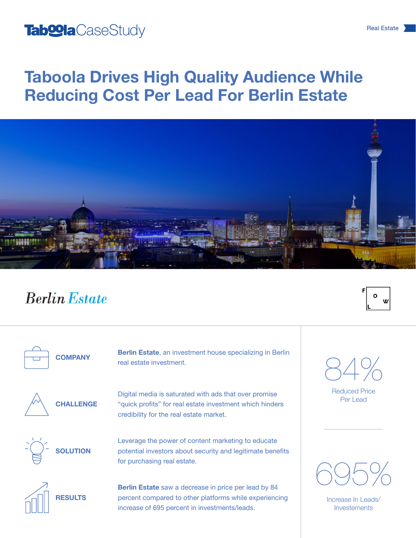## Tab<sup>oo</sup>la CaseStudy **CaseStudy CaseStudy CaseStudy CaseStudy CaseStudy CaseStudy CaseStudy CaseStudy**

# Taboola Drives High Quality Audience While Reducing Cost Per Lead For Berlin Estate



## **Berlin Estate**

**COMPANY** 

Berlin Estate, an investment house specializing in Berlin real estate investment.

**CHALLENGE** 

Digital media is saturated with ads that over promise "quick profits" for real estate investment which hinders credibility for the real estate market.



Leverage the power of content marketing to educate potential investors about security and legitimate benefits for purchasing real estate.



**RESULTS** 

Berlin Estate saw a decrease in price per lead by 84 percent compared to other platforms while experiencing increase of 695 percent in investments/leads.



 $\mathbf{o}$ 

Reduced Price Per Lead



Increase In Leads/ Investements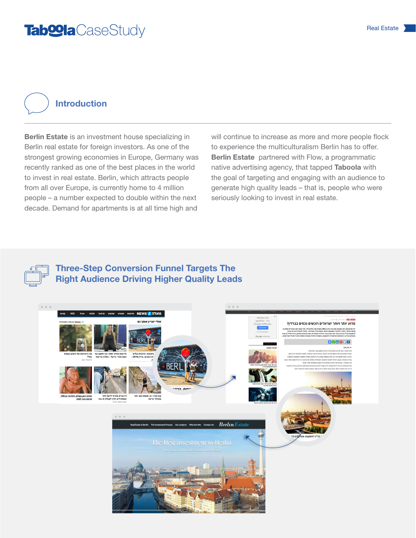## Tab<sup>oo</sup>la CaseStudy Real Estate 1

#### Introduction

Berlin Estate is an investment house specializing in Berlin real estate for foreign investors. As one of the strongest growing economies in Europe, Germany was recently ranked as one of the best places in the world to invest in real estate. Berlin, which attracts people from all over Europe, is currently home to 4 million people – a number expected to double within the next decade. Demand for apartments is at all time high and

will continue to increase as more and more people flock to experience the multiculturalism Berlin has to offer. Berlin Estate partnered with Flow, a programmatic native advertising agency, that tapped Taboola with the goal of targeting and engaging with an audience to generate high quality leads – that is, people who were seriously looking to invest in real estate.



#### Three-Step Conversion Funnel Targets The Right Audience Driving Higher Quality Leads